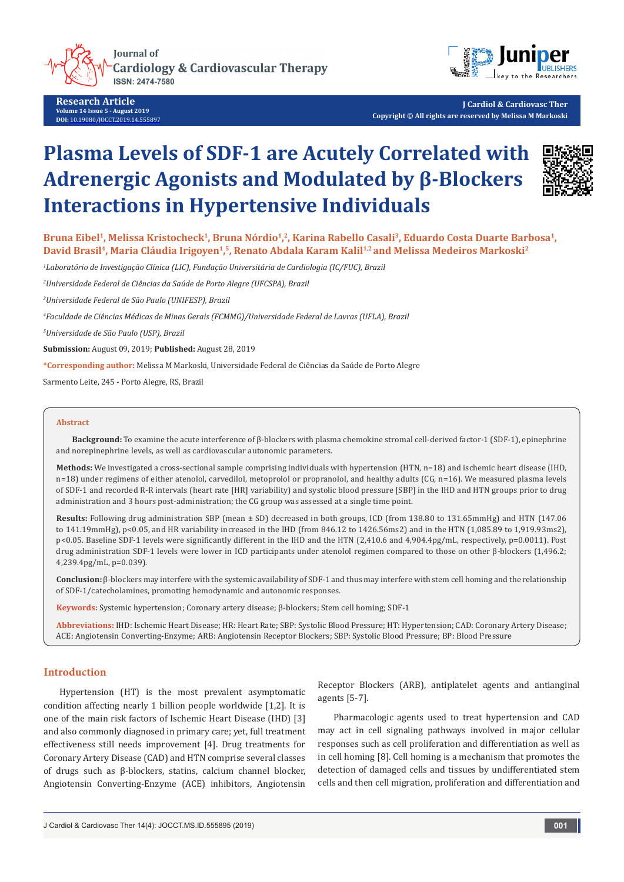

**Research Article Volume 14 Issue 5 - August 2019 DOI:** [10.19080/JOCCT.2019.14.55589](http://dx.doi.org/10.19080/JOCCT.2019.14.555897)7



**J Cardiol & Cardiovasc Ther Copyright © All rights are reserved by Melissa M Markoski**

# **Plasma Levels of SDF-1 are Acutely Correlated with Adrenergic Agonists and Modulated by β-Blockers Interactions in Hypertensive Individuals**



**Bruna Eibel1, Melissa Kristocheck1, Bruna Nórdio1, 2, Karina Rabello Casali3, Eduardo Costa Duarte Barbosa1,**  David Brasil<sup>4</sup>, Maria Cláudia Irigoyen<sup>1</sup>,<sup>5</sup>, Renato Abdala Karam Kalil<sup>1,2</sup> and Melissa Medeiros Markoski<sup>2</sup>

*1 Laboratório de Investigação Clínica (LIC), Fundação Universitária de Cardiologia (IC/FUC), Brazil*

*2 Universidade Federal de Ciências da Saúde de Porto Alegre (UFCSPA), Brazil*

*3 Universidade Federal de São Paulo (UNIFESP), Brazil*

*4 Faculdade de Ciências Médicas de Minas Gerais (FCMMG)/Universidade Federal de Lavras (UFLA), Brazil*

*5 Universidade de São Paulo (USP), Brazil*

**Submission:** August 09, 2019; **Published:** August 28, 2019

**\*Corresponding author:** Melissa M Markoski, Universidade Federal de Ciências da Saúde de Porto Alegre

Sarmento Leite, 245 - Porto Alegre, RS, Brazil

#### **Abstract**

**Background:** To examine the acute interference of β-blockers with plasma chemokine stromal cell-derived factor-1 (SDF-1), epinephrine and norepinephrine levels, as well as cardiovascular autonomic parameters.

**Methods:** We investigated a cross-sectional sample comprising individuals with hypertension (HTN, n=18) and ischemic heart disease (IHD, n=18) under regimens of either atenolol, carvedilol, metoprolol or propranolol, and healthy adults (CG, n=16). We measured plasma levels of SDF-1 and recorded R-R intervals (heart rate [HR] variability) and systolic blood pressure [SBP] in the IHD and HTN groups prior to drug administration and 3 hours post-administration; the CG group was assessed at a single time point.

**Results:** Following drug administration SBP (mean ± SD) decreased in both groups, ICD (from 138.80 to 131.65mmHg) and HTN (147.06 to 141.19mmHg), p<0.05, and HR variability increased in the IHD (from 846.12 to 1426.56ms2) and in the HTN (1,085.89 to 1,919.93ms2), p<0.05. Baseline SDF-1 levels were significantly different in the IHD and the HTN (2,410.6 and 4,904.4pg/mL, respectively, p=0.0011). Post drug administration SDF-1 levels were lower in ICD participants under atenolol regimen compared to those on other β-blockers (1,496.2; 4,239.4pg/mL, p=0.039).

**Conclusion:** β-blockers may interfere with the systemic availability of SDF-1 and thus may interfere with stem cell homing and the relationship of SDF-1/catecholamines, promoting hemodynamic and autonomic responses.

**Keywords:** Systemic hypertension; Coronary artery disease; β-blockers; Stem cell homing; SDF-1

**Abbreviations:** IHD: Ischemic Heart Disease; HR: Heart Rate; SBP: Systolic Blood Pressure; HT: Hypertension; CAD: Coronary Artery Disease; ACE: Angiotensin Converting-Enzyme; ARB: Angiotensin Receptor Blockers; SBP: Systolic Blood Pressure; BP: Blood Pressure

## **Introduction**

Hypertension (HT) is the most prevalent asymptomatic condition affecting nearly 1 billion people worldwide [1,2]. It is one of the main risk factors of Ischemic Heart Disease (IHD) [3] and also commonly diagnosed in primary care; yet, full treatment effectiveness still needs improvement [4]. Drug treatments for Coronary Artery Disease (CAD) and HTN comprise several classes of drugs such as β-blockers, statins, calcium channel blocker, Angiotensin Converting-Enzyme (ACE) inhibitors, Angiotensin Receptor Blockers (ARB), antiplatelet agents and antianginal agents [5-7].

Pharmacologic agents used to treat hypertension and CAD may act in cell signaling pathways involved in major cellular responses such as cell proliferation and differentiation as well as in cell homing [8]. Cell homing is a mechanism that promotes the detection of damaged cells and tissues by undifferentiated stem cells and then cell migration, proliferation and differentiation and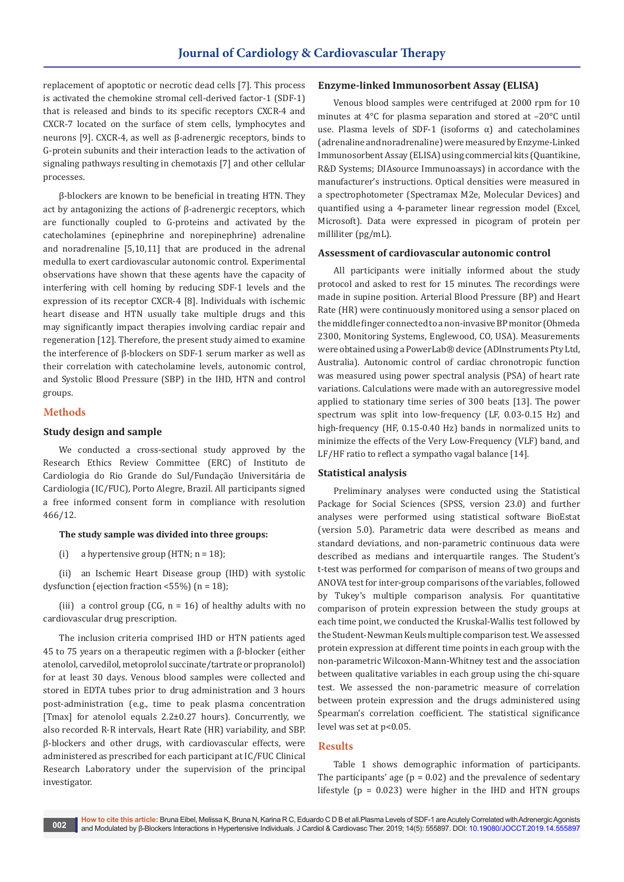replacement of apoptotic or necrotic dead cells [7]. This process is activated the chemokine stromal cell-derived factor-1 (SDF-1) that is released and binds to its specific receptors CXCR-4 and CXCR-7 located on the surface of stem cells, lymphocytes and neurons [9]. CXCR-4, as well as β-adrenergic receptors, binds to G-protein subunits and their interaction leads to the activation of signaling pathways resulting in chemotaxis [7] and other cellular processes.

β-blockers are known to be beneficial in treating HTN. They act by antagonizing the actions of β-adrenergic receptors, which are functionally coupled to G-proteins and activated by the catecholamines (epinephrine and norepinephrine) adrenaline and noradrenaline [5,10,11] that are produced in the adrenal medulla to exert cardiovascular autonomic control. Experimental observations have shown that these agents have the capacity of interfering with cell homing by reducing SDF-1 levels and the expression of its receptor CXCR-4 [8]. Individuals with ischemic heart disease and HTN usually take multiple drugs and this may significantly impact therapies involving cardiac repair and regeneration [12]. Therefore, the present study aimed to examine the interference of β-blockers on SDF-1 serum marker as well as their correlation with catecholamine levels, autonomic control, and Systolic Blood Pressure (SBP) in the IHD, HTN and control groups.

# **Methods**

## **Study design and sample**

We conducted a cross-sectional study approved by the Research Ethics Review Committee (ERC) of Instituto de Cardiologia do Rio Grande do Sul/Fundação Universitária de Cardiologia (IC/FUC), Porto Alegre, Brazil. All participants signed a free informed consent form in compliance with resolution 466/12.

## **The study sample was divided into three groups:**

(i) a hypertensive group (HTN;  $n = 18$ );

(ii) an Ischemic Heart Disease group (IHD) with systolic dysfunction (ejection fraction <55%) (n = 18);

(iii) a control group  $(CG, n = 16)$  of healthy adults with no cardiovascular drug prescription.

The inclusion criteria comprised IHD or HTN patients aged 45 to 75 years on a therapeutic regimen with a β-blocker (either atenolol, carvedilol, metoprolol succinate/tartrate or propranolol) for at least 30 days. Venous blood samples were collected and stored in EDTA tubes prior to drug administration and 3 hours post-administration (e.g., time to peak plasma concentration [Tmax] for atenolol equals  $2.2\pm0.27$  hours). Concurrently, we also recorded R-R intervals, Heart Rate (HR) variability, and SBP. β-blockers and other drugs, with cardiovascular effects, were administered as prescribed for each participant at IC/FUC Clinical Research Laboratory under the supervision of the principal investigator.

## **Enzyme-linked Immunosorbent Assay (ELISA)**

Venous blood samples were centrifuged at 2000 rpm for 10 minutes at 4°C for plasma separation and stored at –20°C until use. Plasma levels of SDF-1 (isoforms α) and catecholamines (adrenaline and noradrenaline) were measured by Enzyme-Linked Immunosorbent Assay (ELISA) using commercial kits (Quantikine, R&D Systems; DIAsource Immunoassays) in accordance with the manufacturer's instructions. Optical densities were measured in a spectrophotometer (Spectramax M2e, Molecular Devices) and quantified using a 4-parameter linear regression model (Excel, Microsoft). Data were expressed in picogram of protein per milliliter (pg/mL).

## **Assessment of cardiovascular autonomic control**

All participants were initially informed about the study protocol and asked to rest for 15 minutes. The recordings were made in supine position. Arterial Blood Pressure (BP) and Heart Rate (HR) were continuously monitored using a sensor placed on the middle finger connected to a non-invasive BP monitor (Ohmeda 2300, Monitoring Systems, Englewood, CO, USA). Measurements were obtained using a PowerLab® device (ADInstruments Pty Ltd, Australia). Autonomic control of cardiac chronotropic function was measured using power spectral analysis (PSA) of heart rate variations. Calculations were made with an autoregressive model applied to stationary time series of 300 beats [13]. The power spectrum was split into low-frequency (LF, 0.03-0.15 Hz) and high-frequency (HF, 0.15-0.40 Hz) bands in normalized units to minimize the effects of the Very Low-Frequency (VLF) band, and LF/HF ratio to reflect a sympatho vagal balance [14].

#### **Statistical analysis**

Preliminary analyses were conducted using the Statistical Package for Social Sciences (SPSS, version 23.0) and further analyses were performed using statistical software BioEstat (version 5.0). Parametric data were described as means and standard deviations, and non-parametric continuous data were described as medians and interquartile ranges. The Student's t-test was performed for comparison of means of two groups and ANOVA test for inter-group comparisons of the variables, followed by Tukey's multiple comparison analysis. For quantitative comparison of protein expression between the study groups at each time point, we conducted the Kruskal-Wallis test followed by the Student-Newman Keuls multiple comparison test. We assessed protein expression at different time points in each group with the non-parametric Wilcoxon-Mann-Whitney test and the association between qualitative variables in each group using the chi-square test. We assessed the non-parametric measure of correlation between protein expression and the drugs administered using Spearman's correlation coefficient. The statistical significance level was set at p<0.05.

## **Results**

Table 1 shows demographic information of participants. The participants' age ( $p = 0.02$ ) and the prevalence of sedentary lifestyle  $(p = 0.023)$  were higher in the IHD and HTN groups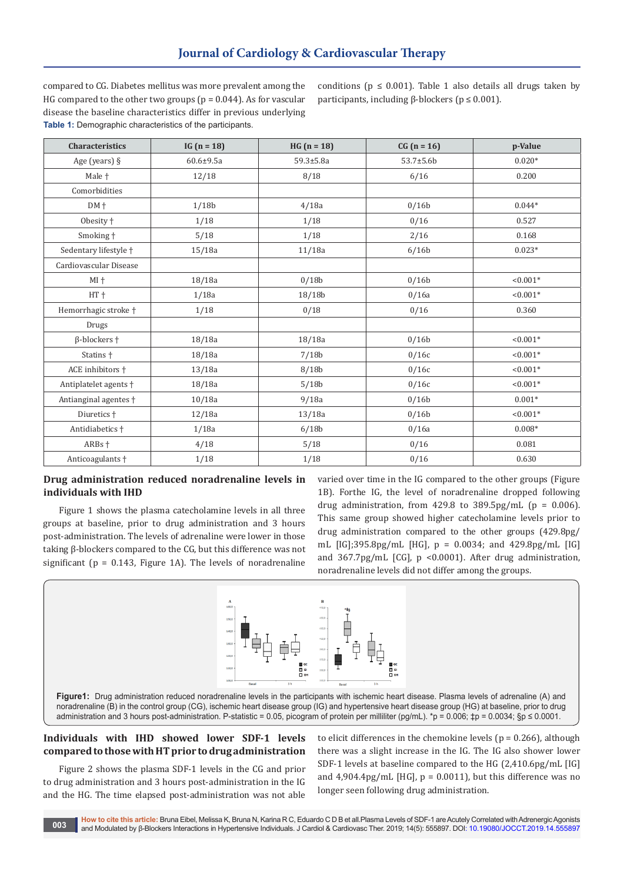compared to CG. Diabetes mellitus was more prevalent among the HG compared to the other two groups ( $p = 0.044$ ). As for vascular disease the baseline characteristics differ in previous underlying **Table 1:** Demographic characteristics of the participants.

conditions ( $p \le 0.001$ ). Table 1 also details all drugs taken by participants, including β-blockers (p ≤ 0.001).

| Characteristics             | IG $(n = 18)$     | $HG (n = 18)$     | $CG (n = 16)$ | p-Value    |
|-----------------------------|-------------------|-------------------|---------------|------------|
| Age (years) §               | $60.6 + 9.5a$     | $59.3 \pm 5.8a$   | 53.7±5.6b     | $0.020*$   |
| Male +                      | 12/18             | 8/18              | 6/16          | 0.200      |
| Comorbidities               |                   |                   |               |            |
| $DM +$                      | 1/18 <sub>b</sub> | 4/18a             | 0/16b         | $0.044*$   |
| Obesity <sup>+</sup>        | 1/18              | 1/18              | 0/16          | 0.527      |
| Smoking +                   | 5/18              | 1/18              | 2/16          | 0.168      |
| Sedentary lifestyle +       | 15/18a            | 11/18a            | 6/16b         | $0.023*$   |
| Cardiovascular Disease      |                   |                   |               |            |
| MI +                        | 18/18a            | 0/18b             | 0/16b         | $< 0.001*$ |
| $HT +$                      | 1/18a             | 18/18b            | 0/16a         | $< 0.001*$ |
| Hemorrhagic stroke +        | 1/18              | 0/18              | 0/16          | 0.360      |
| Drugs                       |                   |                   |               |            |
| $\beta$ -blockers $\dagger$ | 18/18a            | 18/18a            | 0/16b         | $< 0.001*$ |
| Statins <sup>+</sup>        | 18/18a            | 7/18 <sub>b</sub> | 0/16c         | $< 0.001*$ |
| ACE inhibitors +            | 13/18a            | 8/18 <sub>b</sub> | 0/16c         | $< 0.001*$ |
| Antiplatelet agents †       | 18/18a            | 5/18b             | 0/16c         | $< 0.001*$ |
| Antianginal agentes +       | 10/18a            | 9/18a             | 0/16b         | $0.001*$   |
| Diuretics +                 | 12/18a            | 13/18a            | 0/16b         | $< 0.001*$ |
| Antidiabetics +             | 1/18a             | 6/18b             | 0/16a         | $0.008*$   |
| ARBs +                      | 4/18              | 5/18              | 0/16          | 0.081      |
| Anticoagulants +            | 1/18              | 1/18              | 0/16          | 0.630      |

# **Drug administration reduced noradrenaline levels in individuals with IHD**

Figure 1 shows the plasma catecholamine levels in all three groups at baseline, prior to drug administration and 3 hours post-administration. The levels of adrenaline were lower in those taking β-blockers compared to the CG, but this difference was not significant ( $p = 0.143$ , Figure 1A). The levels of noradrenaline

varied over time in the IG compared to the other groups (Figure 1B). Forthe IG, the level of noradrenaline dropped following drug administration, from 429.8 to 389.5pg/mL ( $p = 0.006$ ). This same group showed higher catecholamine levels prior to drug administration compared to the other groups (429.8pg/ mL [IG];395.8pg/mL [HG], p = 0.0034; and 429.8pg/mL [IG] and 367.7pg/mL [CG], p <0.0001). After drug administration, noradrenaline levels did not differ among the groups.



# **Individuals with IHD showed lower SDF-1 levels compared to those with HT prior to drug administration**

Figure 2 shows the plasma SDF-1 levels in the CG and prior to drug administration and 3 hours post-administration in the IG and the HG. The time elapsed post-administration was not able

to elicit differences in the chemokine levels ( $p = 0.266$ ), although there was a slight increase in the IG. The IG also shower lower SDF-1 levels at baseline compared to the HG (2,410.6pg/mL [IG] and  $4,904.4$ pg/mL [HG],  $p = 0.0011$ ], but this difference was no longer seen following drug administration.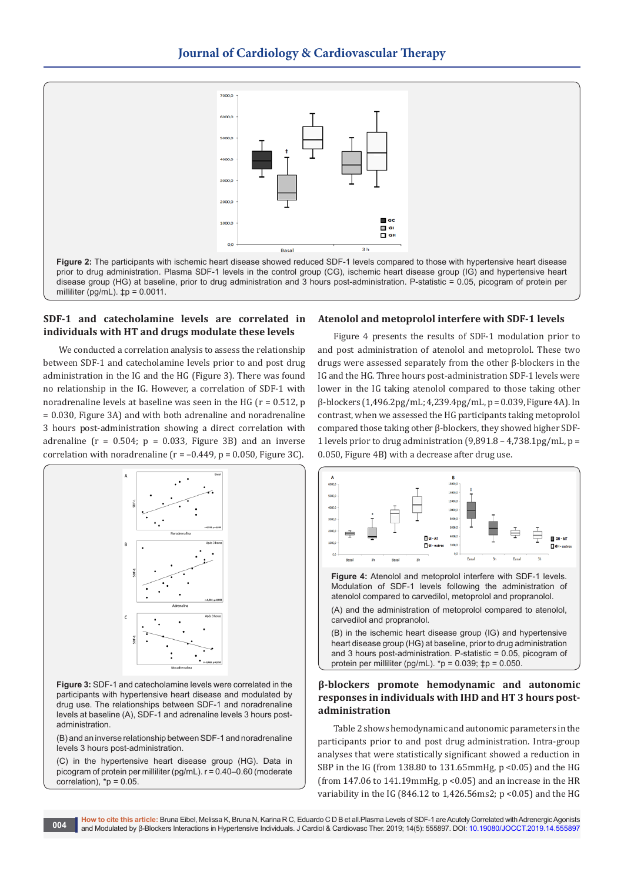

## **SDF-1 and catecholamine levels are correlated in individuals with HT and drugs modulate these levels**

We conducted a correlation analysis to assess the relationship between SDF-1 and catecholamine levels prior to and post drug administration in the IG and the HG (Figure 3). There was found no relationship in the IG. However, a correlation of SDF-1 with noradrenaline levels at baseline was seen in the HG ( $r = 0.512$ , p = 0.030, Figure 3A) and with both adrenaline and noradrenaline 3 hours post-administration showing a direct correlation with adrenaline ( $r = 0.504$ ;  $p = 0.033$ , Figure 3B) and an inverse correlation with noradrenaline  $(r = -0.449, p = 0.050, Figrure 3C)$ .



**Figure 3:** SDF-1 and catecholamine levels were correlated in the participants with hypertensive heart disease and modulated by drug use. The relationships between SDF-1 and noradrenaline levels at baseline (A), SDF-1 and adrenaline levels 3 hours postadministration.

(B) and an inverse relationship between SDF-1 and noradrenaline levels 3 hours post-administration.

(C) in the hypertensive heart disease group (HG). Data in picogram of protein per milliliter (pg/mL). r = 0.40–0.60 (moderate correlation),  ${}^{\star}p = 0.05$ .

# **Atenolol and metoprolol interfere with SDF-1 levels**

Figure 4 presents the results of SDF-1 modulation prior to and post administration of atenolol and metoprolol. These two drugs were assessed separately from the other β-blockers in the IG and the HG. Three hours post-administration SDF-1 levels were lower in the IG taking atenolol compared to those taking other β-blockers (1,496.2pg/mL; 4,239.4pg/mL, p = 0.039, Figure 4A). In contrast, when we assessed the HG participants taking metoprolol compared those taking other β-blockers, they showed higher SDF-1 levels prior to drug administration (9,891.8 – 4,738.1pg/mL, p = 0.050, Figure 4B) with a decrease after drug use.



# **β-blockers promote hemodynamic and autonomic responses in individuals with IHD and HT 3 hours postadministration**

Table 2 shows hemodynamic and autonomic parameters in the participants prior to and post drug administration. Intra-group analyses that were statistically significant showed a reduction in SBP in the IG (from 138.80 to 131.65mmHg,  $p \le 0.05$ ) and the HG (from  $147.06$  to  $141.19$ mmHg,  $p < 0.05$ ) and an increase in the HR variability in the IG (846.12 to 1,426.56ms2; p <0.05) and the HG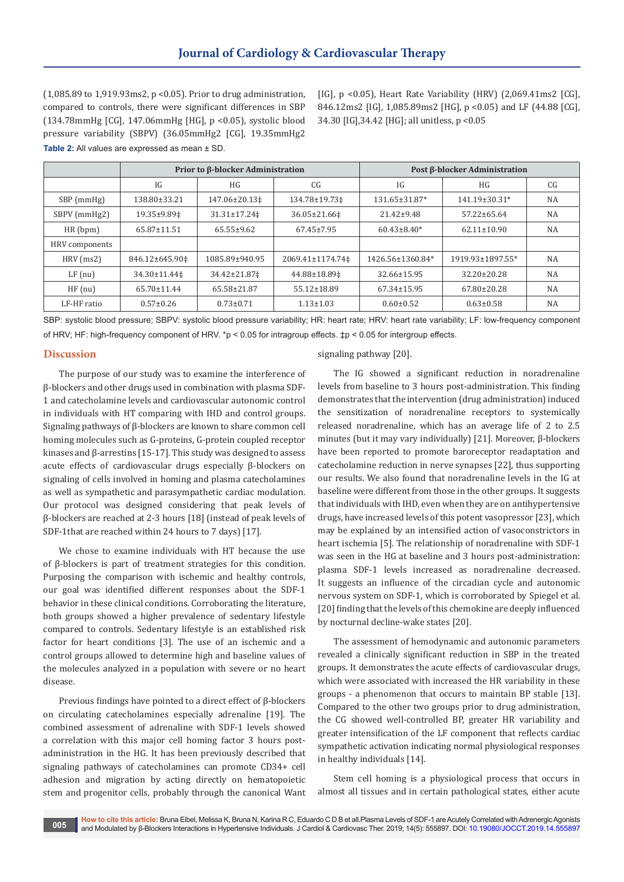(1,085.89 to 1,919.93ms2, p <0.05). Prior to drug administration, compared to controls, there were significant differences in SBP (134.78mmHg [CG], 147.06mmHg [HG], p <0.05), systolic blood pressure variability (SBPV) (36.05mmHg2 [CG], 19.35mmHg2 **Table 2:** All values are expressed as mean ± SD.

[IG], p <0.05), Heart Rate Variability (HRV) (2,069.41ms2 [CG], 846.12ms2 [IG], 1,085.89ms2 [HG], p <0.05) and LF (44.88 [CG], 34.30 [IG],34.42 [HG]; all unitless, p <0.05

|                | Prior to β-blocker Administration |                          |                  | Post β-blocker Administration |                   |           |
|----------------|-----------------------------------|--------------------------|------------------|-------------------------------|-------------------|-----------|
|                | IG                                | HG                       | CG               | IG                            | HG                | CG        |
| SBP (mmHg)     | 138.80±33.21                      | 147.06±20.13‡            | 134.78±19.73‡    | 131.65±31.87*                 | 141.19±30.31*     | <b>NA</b> |
| SBPV (mmHg2)   | 19.35±9.89‡                       | 31.31±17.24‡             | 36.05±21.66‡     | $21.42 \pm 9.48$              | $57.22 \pm 65.64$ | <b>NA</b> |
| HR(bpm)        | $65.87 \pm 11.51$                 | $65.55 \pm 9.62$         | $67.45 \pm 7.95$ | $60.43 \pm 8.40*$             | $62.11 \pm 10.90$ | <b>NA</b> |
| HRV components |                                   |                          |                  |                               |                   |           |
| $HRV$ (ms2)    | 846.12±645.90‡                    | 1085.89±940.95           | 2069.41±1174.74‡ | 1426.56±1360.84*              | 1919.93±1897.55*  | <b>NA</b> |
| $LF$ (nu)      | 34.30±11.44‡                      | 34.42±21.87 <sup>±</sup> | 44.88±18.89‡     | 32.66±15.95                   | $32.20 \pm 20.28$ | <b>NA</b> |
| HF(nu)         | $65.70 \pm 11.44$                 | 65.58±21.87              | 55.12±18.89      | 67.34±15.95                   | $67.80 \pm 20.28$ | <b>NA</b> |
| LF-HF ratio    | $0.57 \pm 0.26$                   | $0.73 \pm 0.71$          | $1.13 \pm 1.03$  | $0.60 \pm 0.52$               | $0.63 \pm 0.58$   | NA        |

SBP: systolic blood pressure; SBPV: systolic blood pressure variability; HR: heart rate; HRV: heart rate variability; LF: low-frequency component of HRV; HF: high-frequency component of HRV. \*p < 0.05 for intragroup effects. ‡p < 0.05 for intergroup effects.

## **Discussion**

The purpose of our study was to examine the interference of β-blockers and other drugs used in combination with plasma SDF-1 and catecholamine levels and cardiovascular autonomic control in individuals with HT comparing with IHD and control groups. Signaling pathways of β-blockers are known to share common cell homing molecules such as G-proteins, G-protein coupled receptor kinases and β-arrestins [15-17]. This study was designed to assess acute effects of cardiovascular drugs especially β-blockers on signaling of cells involved in homing and plasma catecholamines as well as sympathetic and parasympathetic cardiac modulation. Our protocol was designed considering that peak levels of β-blockers are reached at 2-3 hours [18] (instead of peak levels of SDF-1that are reached within 24 hours to 7 days) [17].

We chose to examine individuals with HT because the use of β-blockers is part of treatment strategies for this condition. Purposing the comparison with ischemic and healthy controls, our goal was identified different responses about the SDF-1 behavior in these clinical conditions. Corroborating the literature, both groups showed a higher prevalence of sedentary lifestyle compared to controls. Sedentary lifestyle is an established risk factor for heart conditions [3]. The use of an ischemic and a control groups allowed to determine high and baseline values of the molecules analyzed in a population with severe or no heart disease.

Previous findings have pointed to a direct effect of β-blockers on circulating catecholamines especially adrenaline [19]. The combined assessment of adrenaline with SDF-1 levels showed a correlation with this major cell homing factor 3 hours postadministration in the HG. It has been previously described that signaling pathways of catecholamines can promote CD34+ cell adhesion and migration by acting directly on hematopoietic stem and progenitor cells, probably through the canonical Want

#### signaling pathway [20].

The IG showed a significant reduction in noradrenaline levels from baseline to 3 hours post-administration. This finding demonstrates that the intervention (drug administration) induced the sensitization of noradrenaline receptors to systemically released noradrenaline, which has an average life of 2 to 2.5 minutes (but it may vary individually) [21]. Moreover, β-blockers have been reported to promote baroreceptor readaptation and catecholamine reduction in nerve synapses [22], thus supporting our results. We also found that noradrenaline levels in the IG at baseline were different from those in the other groups. It suggests that individuals with IHD, even when they are on antihypertensive drugs, have increased levels of this potent vasopressor [23], which may be explained by an intensified action of vasoconstrictors in heart ischemia [5]. The relationship of noradrenaline with SDF-1 was seen in the HG at baseline and 3 hours post-administration: plasma SDF-1 levels increased as noradrenaline decreased. It suggests an influence of the circadian cycle and autonomic nervous system on SDF-1, which is corroborated by Spiegel et al. [20] finding that the levels of this chemokine are deeply influenced by nocturnal decline-wake states [20].

The assessment of hemodynamic and autonomic parameters revealed a clinically significant reduction in SBP in the treated groups. It demonstrates the acute effects of cardiovascular drugs, which were associated with increased the HR variability in these groups - a phenomenon that occurs to maintain BP stable [13]. Compared to the other two groups prior to drug administration, the CG showed well-controlled BP, greater HR variability and greater intensification of the LF component that reflects cardiac sympathetic activation indicating normal physiological responses in healthy individuals [14].

Stem cell homing is a physiological process that occurs in almost all tissues and in certain pathological states, either acute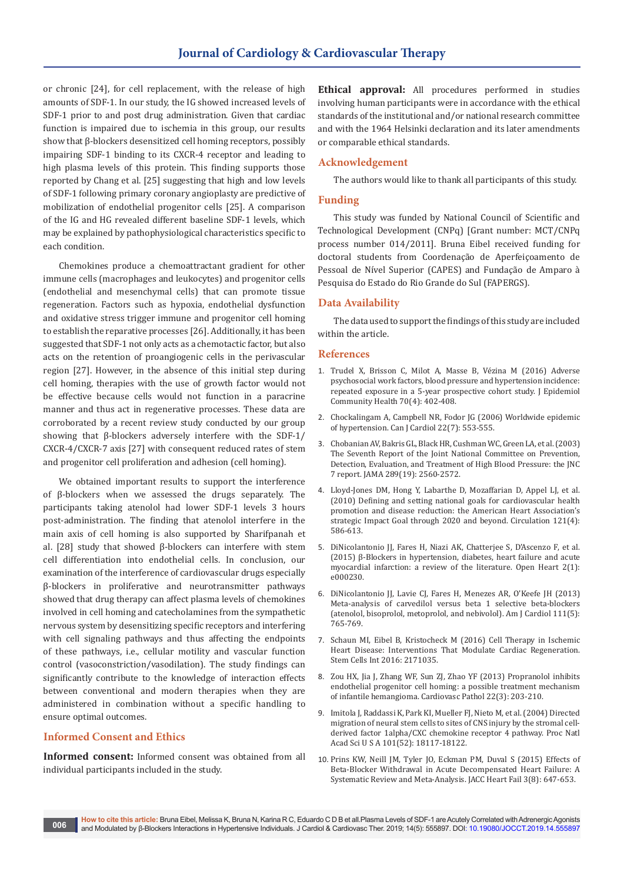or chronic [24], for cell replacement, with the release of high amounts of SDF-1. In our study, the IG showed increased levels of SDF-1 prior to and post drug administration. Given that cardiac function is impaired due to ischemia in this group, our results show that β-blockers desensitized cell homing receptors, possibly impairing SDF-1 binding to its CXCR-4 receptor and leading to high plasma levels of this protein. This finding supports those reported by Chang et al. [25] suggesting that high and low levels of SDF-1 following primary coronary angioplasty are predictive of mobilization of endothelial progenitor cells [25]. A comparison of the IG and HG revealed different baseline SDF-1 levels, which may be explained by pathophysiological characteristics specific to each condition.

Chemokines produce a chemoattractant gradient for other immune cells (macrophages and leukocytes) and progenitor cells (endothelial and mesenchymal cells) that can promote tissue regeneration. Factors such as hypoxia, endothelial dysfunction and oxidative stress trigger immune and progenitor cell homing to establish the reparative processes [26]. Additionally, it has been suggested that SDF-1 not only acts as a chemotactic factor, but also acts on the retention of proangiogenic cells in the perivascular region [27]. However, in the absence of this initial step during cell homing, therapies with the use of growth factor would not be effective because cells would not function in a paracrine manner and thus act in regenerative processes. These data are corroborated by a recent review study conducted by our group showing that β-blockers adversely interfere with the SDF-1/ CXCR-4/CXCR-7 axis [27] with consequent reduced rates of stem and progenitor cell proliferation and adhesion (cell homing).

We obtained important results to support the interference of β-blockers when we assessed the drugs separately. The participants taking atenolol had lower SDF-1 levels 3 hours post-administration. The finding that atenolol interfere in the main axis of cell homing is also supported by Sharifpanah et al. [28] study that showed β-blockers can interfere with stem cell differentiation into endothelial cells. In conclusion, our examination of the interference of cardiovascular drugs especially β-blockers in proliferative and neurotransmitter pathways showed that drug therapy can affect plasma levels of chemokines involved in cell homing and catecholamines from the sympathetic nervous system by desensitizing specific receptors and interfering with cell signaling pathways and thus affecting the endpoints of these pathways, i.e., cellular motility and vascular function control (vasoconstriction/vasodilation). The study findings can significantly contribute to the knowledge of interaction effects between conventional and modern therapies when they are administered in combination without a specific handling to ensure optimal outcomes.

## **Informed Consent and Ethics**

**Informed consent:** Informed consent was obtained from all individual participants included in the study.

**Ethical approval:** All procedures performed in studies involving human participants were in accordance with the ethical standards of the institutional and/or national research committee and with the 1964 Helsinki declaration and its later amendments or comparable ethical standards.

#### **Acknowledgement**

The authors would like to thank all participants of this study.

### **Funding**

This study was funded by National Council of Scientific and Technological Development (CNPq) [Grant number: MCT/CNPq process number 014/2011]. Bruna Eibel received funding for doctoral students from Coordenação de Aperfeiçoamento de Pessoal de Nível Superior (CAPES) and Fundação de Amparo à Pesquisa do Estado do Rio Grande do Sul (FAPERGS).

#### **Data Availability**

The data used to support the findings of this study are included within the article.

#### **References**

- 1. [Trudel X, Brisson C, Milot A, Masse B, Vézina M \(2016\) Adverse](https://www.ncbi.nlm.nih.gov/pubmed/26530810)  [psychosocial work factors, blood pressure and hypertension incidence:](https://www.ncbi.nlm.nih.gov/pubmed/26530810)  [repeated exposure in a 5-year prospective cohort study. J Epidemiol](https://www.ncbi.nlm.nih.gov/pubmed/26530810)  [Community Health 70\(4\): 402-408.](https://www.ncbi.nlm.nih.gov/pubmed/26530810)
- 2. [Chockalingam A, Campbell NR, Fodor JG \(2006\) Worldwide epidemic](https://www.ncbi.nlm.nih.gov/pubmed/16755308)  [of hypertension. Can J Cardiol 22\(7\): 553-555.](https://www.ncbi.nlm.nih.gov/pubmed/16755308)
- 3. [Chobanian AV, Bakris GL, Black HR, Cushman WC, Green LA, et al. \(2003\)](https://www.ncbi.nlm.nih.gov/pubmed/12748199)  [The Seventh Report of the Joint National Committee on Prevention,](https://www.ncbi.nlm.nih.gov/pubmed/12748199)  [Detection, Evaluation, and Treatment of High Blood Pressure: the JNC](https://www.ncbi.nlm.nih.gov/pubmed/12748199)  [7 report. JAMA 289\(19\): 2560-2572.](https://www.ncbi.nlm.nih.gov/pubmed/12748199)
- 4. [Lloyd-Jones DM, Hong Y, Labarthe D, Mozaffarian D, Appel LJ, et al.](https://www.ncbi.nlm.nih.gov/pubmed/20089546)  [\(2010\) Defining and setting national goals for cardiovascular health](https://www.ncbi.nlm.nih.gov/pubmed/20089546)  [promotion and disease reduction: the American Heart Association's](https://www.ncbi.nlm.nih.gov/pubmed/20089546)  [strategic Impact Goal through 2020 and beyond. Circulation 121\(4\):](https://www.ncbi.nlm.nih.gov/pubmed/20089546)  [586-613.](https://www.ncbi.nlm.nih.gov/pubmed/20089546)
- 5. [DiNicolantonio JJ, Fares H, Niazi AK, Chatterjee S, D'Ascenzo F, et al.](https://www.ncbi.nlm.nih.gov/pubmed/25821584)  [\(2015\) β-Blockers in hypertension, diabetes, heart failure and acute](https://www.ncbi.nlm.nih.gov/pubmed/25821584)  [myocardial infarction: a review of the literature. Open Heart 2\(1\):](https://www.ncbi.nlm.nih.gov/pubmed/25821584)  [e000230.](https://www.ncbi.nlm.nih.gov/pubmed/25821584)
- 6. [DiNicolantonio JJ, Lavie CJ, Fares H, Menezes AR, O'Keefe JH \(2013\)](https://www.ncbi.nlm.nih.gov/pubmed/23290925)  [Meta-analysis of carvedilol versus beta 1 selective beta-blockers](https://www.ncbi.nlm.nih.gov/pubmed/23290925)  [\(atenolol, bisoprolol, metoprolol, and nebivolol\). Am J Cardiol 111\(5\):](https://www.ncbi.nlm.nih.gov/pubmed/23290925)  [765-769.](https://www.ncbi.nlm.nih.gov/pubmed/23290925)
- 7. [Schaun MI, Eibel B, Kristocheck M \(2016\) Cell Therapy in Ischemic](https://www.hindawi.com/journals/sci/2016/2171035/)  [Heart Disease: Interventions That Modulate Cardiac Regeneration.](https://www.hindawi.com/journals/sci/2016/2171035/)  [Stem Cells Int 2016: 2171035.](https://www.hindawi.com/journals/sci/2016/2171035/)
- 8. [Zou HX, Jia J, Zhang WF, Sun ZJ, Zhao YF \(2013\) Propranolol inhibits](https://www.ncbi.nlm.nih.gov/pubmed/23151525)  [endothelial progenitor cell homing: a possible treatment mechanism](https://www.ncbi.nlm.nih.gov/pubmed/23151525)  [of infantile hemangioma. Cardiovasc Pathol 22\(3\): 203-210.](https://www.ncbi.nlm.nih.gov/pubmed/23151525)
- 9. [Imitola J, Raddassi K, Park KI, Mueller FJ, Nieto M, et al. \(2004\) Directed](https://www.ncbi.nlm.nih.gov/pubmed/15608062)  [migration of neural stem cells to sites of CNS injury by the stromal cell](https://www.ncbi.nlm.nih.gov/pubmed/15608062)[derived factor 1alpha/CXC chemokine receptor 4 pathway. Proc Natl](https://www.ncbi.nlm.nih.gov/pubmed/15608062)  [Acad Sci U S A 101\(52\): 18117-18122.](https://www.ncbi.nlm.nih.gov/pubmed/15608062)
- 10. [Prins KW, Neill JM, Tyler JO, Eckman PM, Duval S \(2015\) Effects of](https://www.ncbi.nlm.nih.gov/pubmed/26251094)  [Beta-Blocker Withdrawal in Acute Decompensated Heart Failure: A](https://www.ncbi.nlm.nih.gov/pubmed/26251094)  [Systematic Review and Meta-Analysis. JACC Heart Fail 3\(8\): 647-653.](https://www.ncbi.nlm.nih.gov/pubmed/26251094)